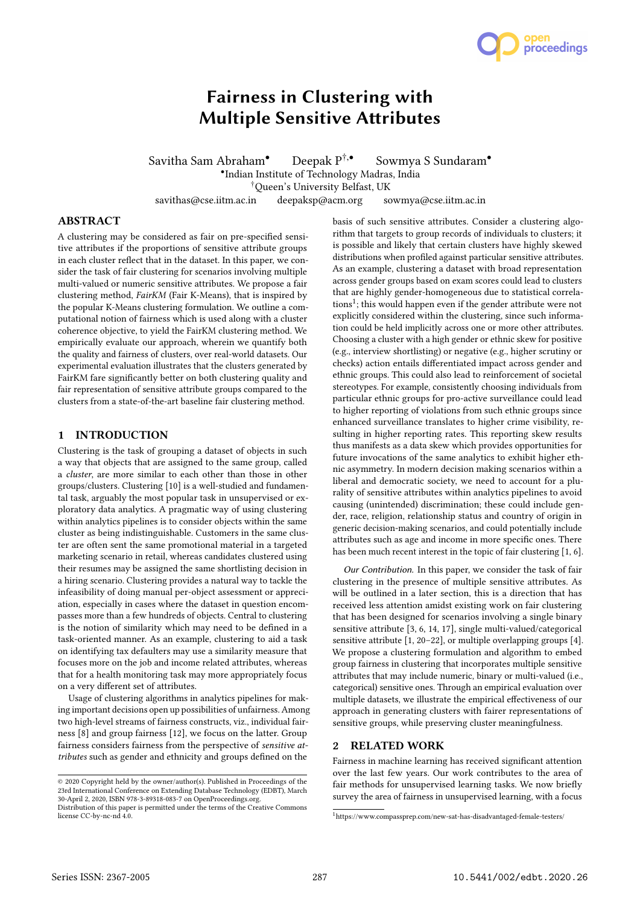

# Fairness in Clustering with Multiple Sensitive Attributes

Savitha Sam Abraham<sup>•</sup> Deepak P<sup>†,•</sup> Sowmya S Sundaram<sup>•</sup> • Indian Institute of Technology Madras, India †Queen's University Belfast, UK savithas@cse.iitm.ac.in deepaksp@acm.org sowmya@cse.iitm.ac.in

## **ABSTRACT**

A clustering may be considered as fair on pre-specified sensitive attributes if the proportions of sensitive attribute groups in each cluster reflect that in the dataset. In this paper, we consider the task of fair clustering for scenarios involving multiple multi-valued or numeric sensitive attributes. We propose a fair clustering method, FairKM (Fair K-Means), that is inspired by the popular K-Means clustering formulation. We outline a computational notion of fairness which is used along with a cluster coherence objective, to yield the FairKM clustering method. We empirically evaluate our approach, wherein we quantify both the quality and fairness of clusters, over real-world datasets. Our experimental evaluation illustrates that the clusters generated by FairKM fare significantly better on both clustering quality and fair representation of sensitive attribute groups compared to the clusters from a state-of-the-art baseline fair clustering method.

# 1 INTRODUCTION

Clustering is the task of grouping a dataset of objects in such a way that objects that are assigned to the same group, called a cluster, are more similar to each other than those in other groups/clusters. Clustering [10] is a well-studied and fundamental task, arguably the most popular task in unsupervised or exploratory data analytics. A pragmatic way of using clustering within analytics pipelines is to consider objects within the same cluster as being indistinguishable. Customers in the same cluster are often sent the same promotional material in a targeted marketing scenario in retail, whereas candidates clustered using their resumes may be assigned the same shortlisting decision in a hiring scenario. Clustering provides a natural way to tackle the infeasibility of doing manual per-object assessment or appreciation, especially in cases where the dataset in question encompasses more than a few hundreds of objects. Central to clustering is the notion of similarity which may need to be defined in a task-oriented manner. As an example, clustering to aid a task on identifying tax defaulters may use a similarity measure that focuses more on the job and income related attributes, whereas that for a health monitoring task may more appropriately focus on a very different set of attributes.

Usage of clustering algorithms in analytics pipelines for making important decisions open up possibilities of unfairness. Among two high-level streams of fairness constructs, viz., individual fairness [8] and group fairness [12], we focus on the latter. Group fairness considers fairness from the perspective of sensitive attributes such as gender and ethnicity and groups defined on the

basis of such sensitive attributes. Consider a clustering algorithm that targets to group records of individuals to clusters; it is possible and likely that certain clusters have highly skewed distributions when profiled against particular sensitive attributes. As an example, clustering a dataset with broad representation across gender groups based on exam scores could lead to clusters that are highly gender-homogeneous due to statistical correlations<sup>1</sup>; this would happen even if the gender attribute were not explicitly considered within the clustering, since such information could be held implicitly across one or more other attributes. Choosing a cluster with a high gender or ethnic skew for positive (e.g., interview shortlisting) or negative (e.g., higher scrutiny or checks) action entails differentiated impact across gender and ethnic groups. This could also lead to reinforcement of societal stereotypes. For example, consistently choosing individuals from particular ethnic groups for pro-active surveillance could lead to higher reporting of violations from such ethnic groups since enhanced surveillance translates to higher crime visibility, resulting in higher reporting rates. This reporting skew results thus manifests as a data skew which provides opportunities for future invocations of the same analytics to exhibit higher ethnic asymmetry. In modern decision making scenarios within a liberal and democratic society, we need to account for a plurality of sensitive attributes within analytics pipelines to avoid causing (unintended) discrimination; these could include gender, race, religion, relationship status and country of origin in generic decision-making scenarios, and could potentially include attributes such as age and income in more specific ones. There has been much recent interest in the topic of fair clustering [1, 6].

Our Contribution. In this paper, we consider the task of fair clustering in the presence of multiple sensitive attributes. As will be outlined in a later section, this is a direction that has received less attention amidst existing work on fair clustering that has been designed for scenarios involving a single binary sensitive attribute [3, 6, 14, 17], single multi-valued/categorical sensitive attribute [1, 20–22], or multiple overlapping groups [4]. We propose a clustering formulation and algorithm to embed group fairness in clustering that incorporates multiple sensitive attributes that may include numeric, binary or multi-valued (i.e., categorical) sensitive ones. Through an empirical evaluation over multiple datasets, we illustrate the empirical effectiveness of our approach in generating clusters with fairer representations of sensitive groups, while preserving cluster meaningfulness.

# 2 RELATED WORK

Fairness in machine learning has received significant attention over the last few years. Our work contributes to the area of fair methods for unsupervised learning tasks. We now briefly survey the area of fairness in unsupervised learning, with a focus

<sup>©</sup> 2020 Copyright held by the owner/author(s). Published in Proceedings of the 23rd International Conference on Extending Database Technology (EDBT), March 30-April 2, 2020, ISBN 978-3-89318-083-7 on OpenProceedings.org.

Distribution of this paper is permitted under the terms of the Creative Commons license CC-by-nc-nd 4.0.

 $1$ https://www.compassprep.com/new-sat-has-disadvantaged-female-testers/  $\,$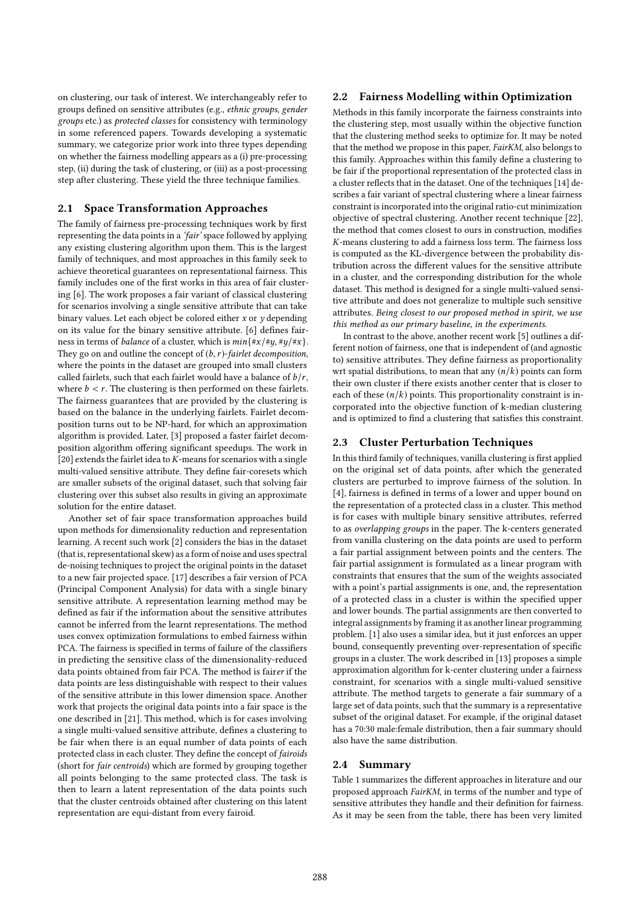on clustering, our task of interest. We interchangeably refer to groups defined on sensitive attributes (e.g., ethnic groups, gender groups etc.) as protected classes for consistency with terminology in some referenced papers. Towards developing a systematic summary, we categorize prior work into three types depending on whether the fairness modelling appears as a (i) pre-processing step, (ii) during the task of clustering, or (iii) as a post-processing step after clustering. These yield the three technique families.

# 2.1 Space Transformation Approaches

The family of fairness pre-processing techniques work by first representing the data points in a 'fair' space followed by applying any existing clustering algorithm upon them. This is the largest family of techniques, and most approaches in this family seek to achieve theoretical guarantees on representational fairness. This family includes one of the first works in this area of fair clustering [6]. The work proposes a fair variant of classical clustering for scenarios involving a single sensitive attribute that can take binary values. Let each object be colored either  $x$  or  $y$  depending on its value for the binary sensitive attribute. [6] defines fairness in terms of *balance* of a cluster, which is  $min\{\#x/\#y, \#y/\#x\}$ . They go on and outline the concept of  $(b, r)$ -fairlet decomposition, where the points in the dataset are grouped into small clusters called fairlets, such that each fairlet would have a balance of  $b/r$ , where  $b < r$ . The clustering is then performed on these fairlets. The fairness guarantees that are provided by the clustering is based on the balance in the underlying fairlets. Fairlet decomposition turns out to be NP-hard, for which an approximation algorithm is provided. Later, [3] proposed a faster fairlet decomposition algorithm offering significant speedups. The work in [20] extends the fairlet idea to  $K$ -means for scenarios with a single multi-valued sensitive attribute. They define fair-coresets which are smaller subsets of the original dataset, such that solving fair clustering over this subset also results in giving an approximate solution for the entire dataset.

Another set of fair space transformation approaches build upon methods for dimensionality reduction and representation learning. A recent such work [2] considers the bias in the dataset (that is, representational skew) as a form of noise and uses spectral de-noising techniques to project the original points in the dataset to a new fair projected space. [17] describes a fair version of PCA (Principal Component Analysis) for data with a single binary sensitive attribute. A representation learning method may be defined as fair if the information about the sensitive attributes cannot be inferred from the learnt representations. The method uses convex optimization formulations to embed fairness within PCA. The fairness is specified in terms of failure of the classifiers in predicting the sensitive class of the dimensionality-reduced data points obtained from fair PCA. The method is fairer if the data points are less distinguishable with respect to their values of the sensitive attribute in this lower dimension space. Another work that projects the original data points into a fair space is the one described in [21]. This method, which is for cases involving a single multi-valued sensitive attribute, defines a clustering to be fair when there is an equal number of data points of each protected class in each cluster. They define the concept of fairoids (short for fair centroids) which are formed by grouping together all points belonging to the same protected class. The task is then to learn a latent representation of the data points such that the cluster centroids obtained after clustering on this latent representation are equi-distant from every fairoid.

# 2.2 Fairness Modelling within Optimization

Methods in this family incorporate the fairness constraints into the clustering step, most usually within the objective function that the clustering method seeks to optimize for. It may be noted that the method we propose in this paper, FairKM, also belongs to this family. Approaches within this family define a clustering to be fair if the proportional representation of the protected class in a cluster reflects that in the dataset. One of the techniques [14] describes a fair variant of spectral clustering where a linear fairness constraint is incorporated into the original ratio-cut minimization objective of spectral clustering. Another recent technique [22], the method that comes closest to ours in construction, modifies K-means clustering to add a fairness loss term. The fairness loss is computed as the KL-divergence between the probability distribution across the different values for the sensitive attribute in a cluster, and the corresponding distribution for the whole dataset. This method is designed for a single multi-valued sensitive attribute and does not generalize to multiple such sensitive attributes. Being closest to our proposed method in spirit, we use this method as our primary baseline, in the experiments.

In contrast to the above, another recent work [5] outlines a different notion of fairness, one that is independent of (and agnostic to) sensitive attributes. They define fairness as proportionality wrt spatial distributions, to mean that any  $(n/k)$  points can form their own cluster if there exists another center that is closer to each of these  $(n/k)$  points. This proportionality constraint is incorporated into the objective function of k-median clustering and is optimized to find a clustering that satisfies this constraint.

## 2.3 Cluster Perturbation Techniques

In this third family of techniques, vanilla clustering is first applied on the original set of data points, after which the generated clusters are perturbed to improve fairness of the solution. In [4], fairness is defined in terms of a lower and upper bound on the representation of a protected class in a cluster. This method is for cases with multiple binary sensitive attributes, referred to as overlapping groups in the paper. The k-centers generated from vanilla clustering on the data points are used to perform a fair partial assignment between points and the centers. The fair partial assignment is formulated as a linear program with constraints that ensures that the sum of the weights associated with a point's partial assignments is one, and, the representation of a protected class in a cluster is within the specified upper and lower bounds. The partial assignments are then converted to integral assignments by framing it as another linear programming problem. [1] also uses a similar idea, but it just enforces an upper bound, consequently preventing over-representation of specific groups in a cluster. The work described in [13] proposes a simple approximation algorithm for k-center clustering under a fairness constraint, for scenarios with a single multi-valued sensitive attribute. The method targets to generate a fair summary of a large set of data points, such that the summary is a representative subset of the original dataset. For example, if the original dataset has a 70:30 male:female distribution, then a fair summary should also have the same distribution.

#### 2.4 Summary

Table 1 summarizes the different approaches in literature and our proposed approach FairKM, in terms of the number and type of sensitive attributes they handle and their definition for fairness. As it may be seen from the table, there has been very limited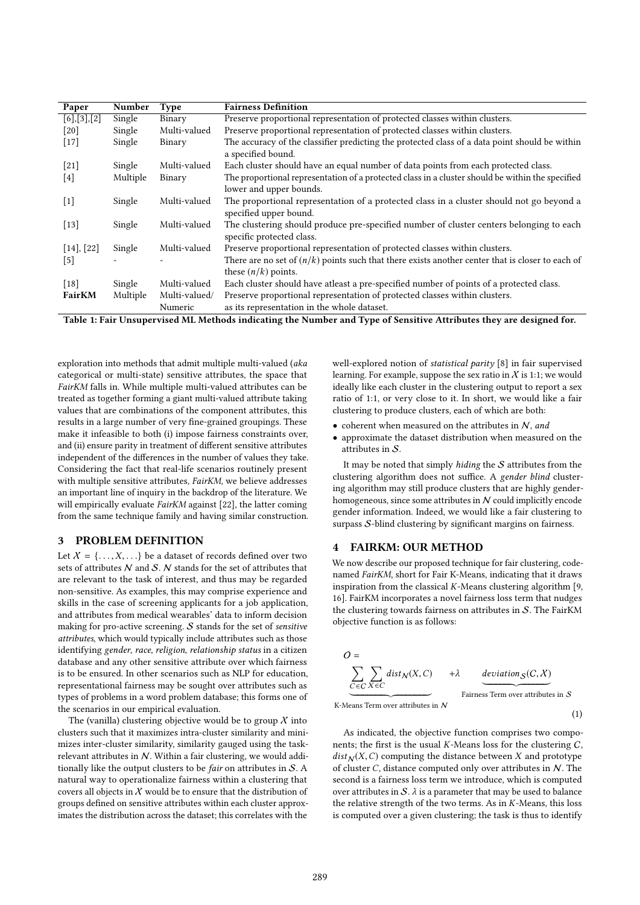| Paper                 | Number                     | <b>Type</b>   | <b>Fairness Definition</b>                                                                                                  |
|-----------------------|----------------------------|---------------|-----------------------------------------------------------------------------------------------------------------------------|
| $[6]$ , $[3]$ , $[2]$ | $\overline{\text{Single}}$ | Binary        | Preserve proportional representation of protected classes within clusters.                                                  |
| [20]                  | Single                     | Multi-valued  | Preserve proportional representation of protected classes within clusters.                                                  |
| $[17]$                | Single                     | Binary        | The accuracy of the classifier predicting the protected class of a data point should be within<br>a specified bound.        |
| $[21]$                | Single                     | Multi-valued  | Each cluster should have an equal number of data points from each protected class.                                          |
| [4]                   | Multiple                   | Binary        | The proportional representation of a protected class in a cluster should be within the specified<br>lower and upper bounds. |
| $[1]$                 | Single                     | Multi-valued  | The proportional representation of a protected class in a cluster should not go beyond a<br>specified upper bound.          |
| $[13]$                | Single                     | Multi-valued  | The clustering should produce pre-specified number of cluster centers belonging to each<br>specific protected class.        |
| [14], [22]            | Single                     | Multi-valued  | Preserve proportional representation of protected classes within clusters.                                                  |
| $[5]$                 |                            |               | There are no set of $(n/k)$ points such that there exists another center that is closer to each of<br>these $(n/k)$ points. |
| $[18]$                | Single                     | Multi-valued  | Each cluster should have atleast a pre-specified number of points of a protected class.                                     |
| <b>FairKM</b>         | Multiple                   | Multi-valued/ | Preserve proportional representation of protected classes within clusters.                                                  |
|                       |                            | Numeric       | as its representation in the whole dataset.                                                                                 |

Table 1: Fair Unsupervised ML Methods indicating the Number and Type of Sensitive Attributes they are designed for.

exploration into methods that admit multiple multi-valued (aka categorical or multi-state) sensitive attributes, the space that FairKM falls in. While multiple multi-valued attributes can be treated as together forming a giant multi-valued attribute taking values that are combinations of the component attributes, this results in a large number of very fine-grained groupings. These make it infeasible to both (i) impose fairness constraints over, and (ii) ensure parity in treatment of different sensitive attributes independent of the differences in the number of values they take. Considering the fact that real-life scenarios routinely present with multiple sensitive attributes, FairKM, we believe addresses an important line of inquiry in the backdrop of the literature. We will empirically evaluate *FairKM* against [22], the latter coming from the same technique family and having similar construction.

# 3 PROBLEM DEFINITION

Let  $X = \{..., X,...\}$  be a dataset of records defined over two sets of attributes  $N$  and  $S$ .  $N$  stands for the set of attributes that are relevant to the task of interest, and thus may be regarded non-sensitive. As examples, this may comprise experience and skills in the case of screening applicants for a job application, and attributes from medical wearables' data to inform decision making for pro-active screening.  $S$  stands for the set of sensitive attributes, which would typically include attributes such as those identifying gender, race, religion, relationship status in a citizen database and any other sensitive attribute over which fairness is to be ensured. In other scenarios such as NLP for education, representational fairness may be sought over attributes such as types of problems in a word problem database; this forms one of the scenarios in our empirical evaluation.

The (vanilla) clustering objective would be to group  $\chi$  into clusters such that it maximizes intra-cluster similarity and minimizes inter-cluster similarity, similarity gauged using the taskrelevant attributes in  $N$ . Within a fair clustering, we would additionally like the output clusters to be *fair* on attributes in  $S$ . A natural way to operationalize fairness within a clustering that covers all objects in  $X$  would be to ensure that the distribution of groups defined on sensitive attributes within each cluster approximates the distribution across the dataset; this correlates with the

well-explored notion of statistical parity [8] in fair supervised learning. For example, suppose the sex ratio in  $\chi$  is 1:1; we would ideally like each cluster in the clustering output to report a sex ratio of 1:1, or very close to it. In short, we would like a fair clustering to produce clusters, each of which are both:

- coherent when measured on the attributes in  $N$ , and
- approximate the dataset distribution when measured on the attributes in S.

It may be noted that simply hiding the  $S$  attributes from the clustering algorithm does not suffice. A gender blind clustering algorithm may still produce clusters that are highly genderhomogeneous, since some attributes in  $N$  could implicitly encode gender information. Indeed, we would like a fair clustering to surpass S-blind clustering by significant margins on fairness.

## 4 FAIRKM: OUR METHOD

We now describe our proposed technique for fair clustering, codenamed FairKM, short for Fair K-Means, indicating that it draws inspiration from the classical  $K$ -Means clustering algorithm [9, 16]. FairKM incorporates a novel fairness loss term that nudges the clustering towards fairness on attributes in  $S$ . The FairKM objective function is as follows:

$$
O = \n\sum_{C \in C} \sum_{X \in C} \text{dist}_{N}(X, C) \qquad + \lambda \qquad \text{deviation}_{S}(C, X)
$$
  
For *deviation* 
$$
S
$$
  
K-Means Term over attributes in *N*

(1)

As indicated, the objective function comprises two components; the first is the usual  $K$ -Means loss for the clustering  $C$ ,  $dist_N(X, C)$  computing the distance between X and prototype of cluster  $C$ , distance computed only over attributes in  $N$ . The second is a fairness loss term we introduce, which is computed over attributes in  $S$ .  $\lambda$  is a parameter that may be used to balance the relative strength of the two terms. As in  $K$ -Means, this loss is computed over a given clustering; the task is thus to identify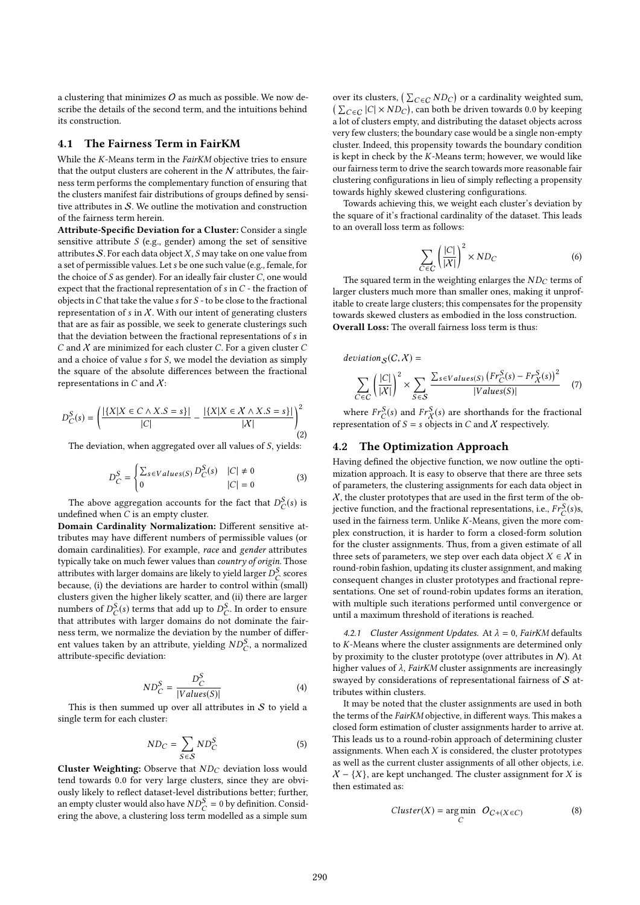a clustering that minimizes  $O$  as much as possible. We now describe the details of the second term, and the intuitions behind its construction.

#### 4.1 The Fairness Term in FairKM

While the K-Means term in the FairKM objective tries to ensure that the output clusters are coherent in the  $N$  attributes, the fairness term performs the complementary function of ensuring that the clusters manifest fair distributions of groups defined by sensitive attributes in  $S$ . We outline the motivation and construction of the fairness term herein.

Attribute-Specific Deviation for a Cluster: Consider a single sensitive attribute  $S$  (e.g., gender) among the set of sensitive attributes  $S$ . For each data object  $X$ ,  $S$  may take on one value from a set of permissible values. Let s be one such value (e.g., female, for the choice of  $S$  as gender). For an ideally fair cluster  $C$ , one would expect that the fractional representation of s in C - the fraction of objects in  $C$  that take the value  $s$  for  $S$  - to be close to the fractional representation of s in  $X$ . With our intent of generating clusters that are as fair as possible, we seek to generate clusterings such that the deviation between the fractional representations of s in C and  $X$  are minimized for each cluster C. For a given cluster C and a choice of value s for S, we model the deviation as simply the square of the absolute differences between the fractional representations in C and  $\chi$ :

$$
D_C^S(s) = \left(\frac{|\{X|X \in C \land X.S = s\}|}{|C|} - \frac{|\{X|X \in X \land X.S = s\}|}{|X|}\right)^2
$$
(2)

The deviation, when aggregated over all values of S, yields:

$$
D_C^S = \begin{cases} \sum_{s \in Values(S)} D_C^S(s) & |C| \neq 0\\ 0 & |C| = 0 \end{cases} \tag{3}
$$

The above aggregation accounts for the fact that  $D_C^S(s)$  is<br>defined when C is an empty cluster undefined when  $C$  is an empty cluster.

Domain Cardinality Normalization: Different sensitive attributes may have different numbers of permissible values (or domain cardinalities). For example, race and gender attributes typically take on much fewer values than country of origin. Those attributes with larger domains are likely to yield larger  $D_{C}^{S}$  scores<br>because (i) the deviations are barder to control within (small) because, (i) the deviations are harder to control within (small) clusters given the higher likely scatter, and (ii) there are larger numbers of  $D_C^S(s)$  terms that add up to  $D_C^S$ . In order to ensure<br>that attributes with larger domains do not dominate the fair. that attributes with larger domains do not dominate the fairness term, we normalize the deviation by the number of different values taken by an attribute, yielding  $ND_C^S$ , a normalized<br>attribute-specific deviation: attribute-specific deviation:

$$
ND_C^S = \frac{D_C^S}{|Values(S)|}
$$
\nThis is then summed up over all attributes in *S* to yield a

single term for each cluster:

$$
ND_C = \sum_{S \in \mathcal{S}} ND_C^S \tag{5}
$$

Cluster Weighting: Observe that  $ND_C$  deviation loss would tend towards <sup>0</sup>.<sup>0</sup> for very large clusters, since they are obviously likely to reflect dataset-level distributions better; further, an empty cluster would also have  $ND_{\mathcal{C}}^{S} = 0$  by definition. Considering the above a clustering loss term modelled as a simple sum ering the above, a clustering loss term modelled as a simple sum

over its clusters,  $(\sum_{C \in C} N D_C)$  or a cardinality weighted sum,<br> $(\sum_{C \in C} |C| \times N D_C)$  can both be driven towards 0.0 by keeping  $(\sum_{C \in \mathcal{C}} |C| \times ND_C)$ , can both be driven towards 0.0 by keeping<br>a lot of clusters empty, and distributing the dataset objects across a lot of clusters empty, and distributing the dataset objects across very few clusters; the boundary case would be a single non-empty cluster. Indeed, this propensity towards the boundary condition is kept in check by the K-Means term; however, we would like our fairness term to drive the search towards more reasonable fair clustering configurations in lieu of simply reflecting a propensity towards highly skewed clustering configurations.

Towards achieving this, we weight each cluster's deviation by the square of it's fractional cardinality of the dataset. This leads to an overall loss term as follows:

$$
\sum_{C \in C} \left( \frac{|C|}{|X|} \right)^2 \times ND_C \tag{6}
$$

The squared term in the weighting enlarges the  $ND_C$  terms of larger clusters much more than smaller ones, making it unprofitable to create large clusters; this compensates for the propensity towards skewed clusters as embodied in the loss construction. Overall Loss: The overall fairness loss term is thus:

deviation<sub>S</sub>(C, X) =  
\n
$$
\sum_{C \in C} \left( \frac{|C|}{|X|} \right)^2 \times \sum_{S \in S} \frac{\sum_{s \in Values(S)} (Fr_C^S(s) - Fr_X^S(s))^2}{|Values(S)|}
$$
 (7)

where  $Fr_C^S(s)$  and  $Fr_X^S(s)$  are shorthands for the fractional<br>presentation of  $S = s$  objects in C and X respectively. representation of  $S = s$  objects in C and X respectively.

#### 4.2 The Optimization Approach

Having defined the objective function, we now outline the optimization approach. It is easy to observe that there are three sets of parameters, the clustering assignments for each data object in  $X$ , the cluster prototypes that are used in the first term of the objective function, and the fractional representations, i.e.,  $Fr_C^S(s)$ s, used in the fairness term Unlike K-Means, given the more comused in the fairness term. Unlike K-Means, given the more complex construction, it is harder to form a closed-form solution for the cluster assignments. Thus, from a given estimate of all three sets of parameters, we step over each data object  $X \in \mathcal{X}$  in round-robin fashion, updating its cluster assignment, and making consequent changes in cluster prototypes and fractional representations. One set of round-robin updates forms an iteration, with multiple such iterations performed until convergence or until a maximum threshold of iterations is reached.

4.2.1 Cluster Assignment Updates. At  $\lambda = 0$ , FairKM defaults to K-Means where the cluster assignments are determined only by proximity to the cluster prototype (over attributes in  $N$ ). At higher values of  $\lambda$ , FairKM cluster assignments are increasingly swayed by considerations of representational fairness of  $S$  attributes within clusters.

It may be noted that the cluster assignments are used in both the terms of the FairKM objective, in different ways. This makes a closed form estimation of cluster assignments harder to arrive at. This leads us to a round-robin approach of determining cluster assignments. When each  $X$  is considered, the cluster prototypes as well as the current cluster assignments of all other objects, i.e.  $X - \{X\}$ , are kept unchanged. The cluster assignment for X is then estimated as:

$$
Cluster(X) = \underset{C}{\text{arg min}} \quad O_{C+(X \in C)}
$$
(8)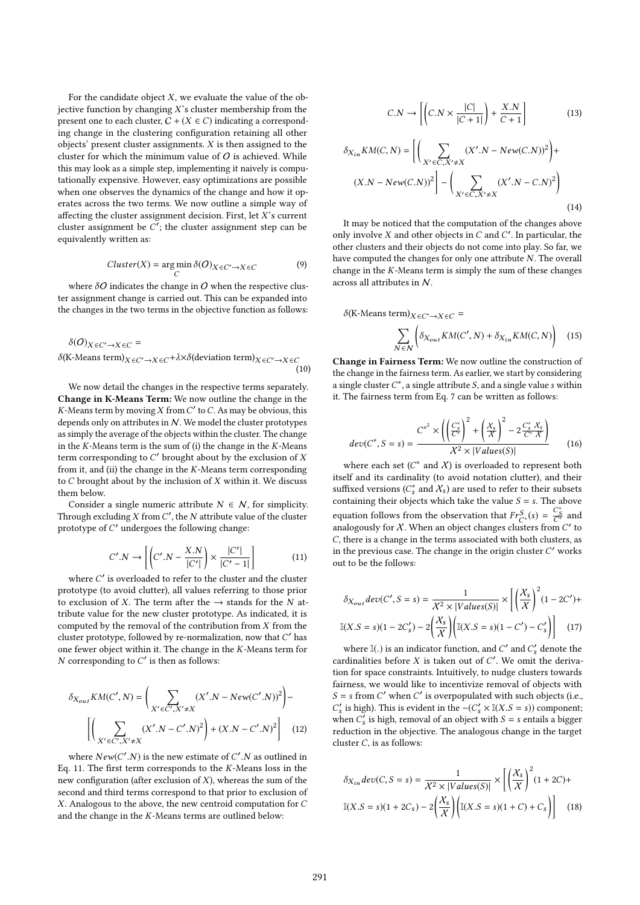For the candidate object  $X$ , we evaluate the value of the objective function by changing  $X$ 's cluster membership from the present one to each cluster,  $C + (X \in C)$  indicating a corresponding change in the clustering configuration retaining all other objects' present cluster assignments. X is then assigned to the cluster for which the minimum value of  $O$  is achieved. While this may look as a simple step, implementing it naively is computationally expensive. However, easy optimizations are possible when one observes the dynamics of the change and how it operates across the two terms. We now outline a simple way of affecting the cluster assignment decision. First, let  $X$ 's current cluster assignment be  $\overline{C}$ ; the cluster assignment step can be equivalently written as: equivalently written as:

$$
Cluster(X) = \underset{C}{\arg\min} \delta(O)_{X \in C' \to X \in C}
$$
 (9)

where  $\delta O$  indicates the change in  $O$  when the respective cluster assignment change is carried out. This can be expanded into the changes in the two terms in the objective function as follows:

$$
\delta(O)_{X \in C' \to X \in C} =
$$
  
\n
$$
\delta(K\text{-Means term})_{X \in C' \to X \in C} + \lambda \times \delta(\text{deviation term})_{X \in C' \to X \in C}
$$
  
\n(10)

We now detail the changes in the respective terms separately. Change in K-Means Term: We now outline the change in the K-Means term by moving X from  $C'$  to C. As may be obvious, this denends only on attributes in  $N$ . We model the cluster prototypes depends only on attributes in N. We model the cluster prototypes as simply the average of the objects within the cluster. The change in the  $K$ -Means term is the sum of (i) the change in the  $K$ -Means term corresponding to  $C'$  brought about by the exclusion of  $X$ <br>from it, and (ii) the change in the  $K$ -Maans term corresponding from it, and (ii) the change in the  $K$ -Means term corresponding to  $C$  brought about by the inclusion of  $X$  within it. We discuss them below.

Consider a single numeric attribute  $N \in \mathcal{N}$ , for simplicity. Through excluding  $X$  from  $C'$ , the  $N$  attribute value of the cluster<br>prototype of  $C'$  undergoes the following change: prototype of  $C'$  undergoes the following change:

$$
C'.N \to \left[ \left( C'.N - \frac{X.N}{|C'|} \right) \times \frac{|C'|}{|C'-1|} \right] \tag{11}
$$

where  $C'$  is overloaded to refer to the cluster and the cluster<br>ototype (to avoid clutter) all values referring to those prior prototype (to avoid clutter), all values referring to those prior to exclusion of X. The term after the  $\rightarrow$  stands for the N attribute value for the new cluster prototype. As indicated, it is computed by the removal of the contribution from  $X$  from the cluster prototype, followed by re-normalization, now that  $C'$  has<br>one fewer object within it. The change in the  $K$ -Means term for one fewer object within it. The change in the K-Means term for  $N$  corresponding to  $C'$  is then as follows:

$$
\delta_{X_{out}} K M(C', N) = \left( \sum_{X' \in C', X' \neq X} (X'.N - New(C'.N))^2 \right) - \left[ \left( \sum_{X' \in C', X' \neq X} (X'.N - C'.N)^2 \right) + (X.N - C'.N)^2 \right] \tag{12}
$$

where  $New(C'.N)$  is the new estimate of C'.N as outlined in 11 The first term corresponds to the K-Means loss in the Eq. 11. The first term corresponds to the  $K$ -Means loss in the new configuration (after exclusion of  $X$ ), whereas the sum of the second and third terms correspond to that prior to exclusion of X. Analogous to the above, the new centroid computation for C and the change in the K-Means terms are outlined below:

$$
C.N \to \left[ \left( C.N \times \frac{|C|}{|C+1|} \right) + \frac{X.N}{C+1} \right] \tag{13}
$$

$$
\delta_{X_{in}} K M(C, N) = \left[ \left( \sum_{X' \in C, X' \neq X} (X'.N - New(C.N))^2 \right) + \left( \sum_{X' \in C, X' \neq X} (X'.N - C.N)^2 \right) \right]
$$
\n
$$
(14)
$$

It may be noticed that the computation of the changes above only involve  $X$  and other objects in  $C$  and  $C'$ . In particular, the other clusters and their objects do not come into play. So far we other clusters and their objects do not come into play. So far, we have computed the changes for only one attribute N. The overall change in the K-Means term is simply the sum of these changes across all attributes in N.

 $\delta$ (K-Means term) $X \in C' \rightarrow X \in C$  =

$$
\sum_{N \in \mathcal{N}} \left( \delta_{X_{out}} KM(C', N) + \delta_{X_{in}} KM(C, N) \right) \tag{15}
$$

Change in Fairness Term: We now outline the construction of the change in the fairness term. As earlier, we start by considering a single cluster  $C^*$ , a single attribute  $S$ , and a single value s within<br>it. The formes term from Eq. 7 can be written as follows: it. The fairness term from Eq. 7 can be written as follows:

$$
dev(C^*, S = s) = \frac{C^{*^2} \times \left( \left( \frac{C_s^*}{C^*} \right)^2 + \left( \frac{X_s}{X} \right)^2 - 2 \frac{C_s^*}{C^*} \frac{X_s}{X} \right)}{X^2 \times |Values(S)|}
$$
(16)

where each set  $(C^*$  and  $\chi)$  is overloaded to represent both  $\text{elf and its cardinality (to avoid notation cluster) and their initial conditions.}$ itself and its cardinality (to avoid notation clutter), and their suffixed versions  $(C_s^*$  and  $X_s$ ) are used to refer to their subsets containing their objects which take the value  $S - s$ . The above containing their objects which take the value  $S = s$ . The above equation follows from the observation that  $Fr_{C^*}^S(s) = \frac{C_S^*}{C^*}$  and analogously for  $X$ . When an object changes clusters from  $C'$  to  $C$  there is a change in the terms associated with both clusters, as C, there is a change in the terms associated with both clusters, as in the previous case. The change in the origin cluster  $C'$  works out to be the follower. out to be the follows:

$$
\delta_{X_{out}} dev(C', S = s) = \frac{1}{\chi^2 \times |Values(S)|} \times \left[ \left( \frac{X_s}{\chi} \right)^2 (1 - 2C') + \mathbb{I}(X.S = s)(1 - 2C'_s) - 2\left( \frac{X_s}{\chi} \right) \left( \mathbb{I}(X.S = s)(1 - C') - C'_s \right) \right] \tag{17}
$$

where  $\mathbb{I}(\cdot)$  is an indicator function, and C' and  $C'_s$  denote the derivative before X is taken out of C'. We omit the derivacardinalities before  $X$  is taken out of  $C'$ . We omit the deriva-<br>tion for space constraints Intuitively to nudge clusters towards tion for space constraints. Intuitively, to nudge clusters towards fairness, we would like to incentivize removal of objects with  $S = s$  from C' when C' is overpopulated with such objects (i.e., C' is high). This is evident in the  $-(C' \times V(X_S - s))$  component: when  $C'_s$  is high, removal of an object with  $S = s$  entails a bigger<br>reduction in the objective. The analogous change in the target  $\int_{s}^{t}$  is high). This is evident in the −(C<sub>s</sub><sup>'</sup> × I(X.S = s)) component;<br>then C' is high removal of an object with S = s entails a higger reduction in the objective. The analogous change in the target cluster  $C$ , is as follows:

$$
\delta_{X_{in}}dev(C, S = s) = \frac{1}{\chi^2 \times |Values(S)|} \times \left[ \left( \frac{X_s}{\chi} \right)^2 (1 + 2C) +
$$

$$
\mathbb{I}(X.S = s)(1 + 2C_s) - 2\left( \frac{X_s}{\chi} \right) \left[ \mathbb{I}(X.S = s)(1 + C) + C_s \right] \right] \tag{18}
$$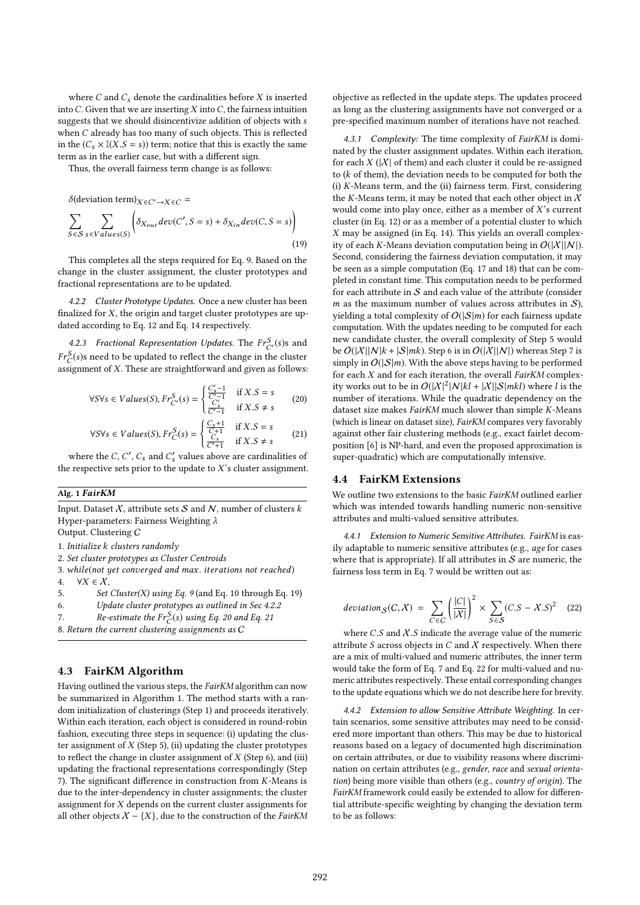where  $C$  and  $C_s$  denote the cardinalities before  $X$  is inserted into  $C$ . Given that we are inserting  $X$  into  $C$ , the fairness intuition suggests that we should disincentivize addition of objects with s when C already has too many of such objects. This is reflected in the  $(C_s \times \mathbb{I}(X.S = s))$  term; notice that this is exactly the same term as in the earlier case, but with a different sign.

Thus, the overall fairness term change is as follows:

 $\delta$ (deviation term) $_{X \in C' \rightarrow X \in C}$  =

$$
\sum_{S \in S} \sum_{s \in Values(S)} \left( \delta_{X_{out}} dev(C', S = s) + \delta_{X_{in}} dev(C, S = s) \right)
$$
\n(19)

This completes all the steps required for Eq. 9. Based on the change in the cluster assignment, the cluster prototypes and fractional representations are to be updated.

4.2.2 Cluster Prototype Updates. Once a new cluster has been finalized for  $X$ , the origin and target cluster prototypes are updated according to Eq. 12 and Eq. 14 respectively.

4.2.3 Fractional Representation Updates. The  $Fr_C^S(s)$ s and  $S(s)$ s and the lower distribution of the distribution  $Fr_C^S(s)$ s need to be updated to reflect the change in the cluster<br>assignment of X. These are straightforward and given as follows assignment of X. These are straightforward and given as follows:

$$
\forall S \forall s \in Values(S), Fr_{C'}^{S}(s) = \begin{cases} \frac{C'_{s}-1}{C'-1} & \text{if } X.S = s\\ \frac{C'_{s}}{C'-1} & \text{if } X.S \neq s \end{cases} \tag{20}
$$

$$
\forall S \forall s \in Values(S), Fr_C^S(s) = \begin{cases} \frac{C_s + 1}{C + 1} & \text{if } X.S = s\\ \frac{C_s}{C' + 1} & \text{if } X.S \neq s \end{cases} \tag{21}
$$

where the C, C', C<sub>s</sub> and C'<sub>s</sub> values above are cardinalities of<br>experience at prior to the undate to Y's cluster assignment the respective sets prior to the update to  $X$ 's cluster assignment.

## Alg. 1 FairKM

Input. Dataset  $X$ , attribute sets  $S$  and  $N$ , number of clusters  $k$ Hyper-parameters: Fairness Weighting λ

Output. Clustering C

1. Initialize k clusters randomly

2. Set cluster prototypes as Cluster Centroids

- 3. while(not yet converged and max. iterations not reached) 4.  $\forall X \in \mathcal{X}$ .
- 4.  $\forall X \in \mathcal{X},$ <br>5. Set

Set Cluster(X) using Eq. 9 (and Eq. 10 through Eq. 19)

```
6. Update cluster prototypes as outlined in Sec 4.2.2
```
7. Re-estimate the 
$$
Fr_C^S(s)
$$
 using Eq. 20 and Eq. 21 8. Return the current clustering assignments as  $C$ 

## 4.3 FairKM Algorithm

Having outlined the various steps, the FairKM algorithm can now be summarized in Algorithm 1. The method starts with a random initialization of clusterings (Step 1) and proceeds iteratively. Within each iteration, each object is considered in round-robin fashion, executing three steps in sequence: (i) updating the cluster assignment of  $X$  (Step 5), (ii) updating the cluster prototypes to reflect the change in cluster assignment of  $X$  (Step 6), and (iii) updating the fractional representations correspondingly (Step 7). The significant difference in construction from K-Means is due to the inter-dependency in cluster assignments; the cluster assignment for  $X$  depends on the current cluster assignments for all other objects  $X - \{X\}$ , due to the construction of the *FairKM* 

objective as reflected in the update steps. The updates proceed as long as the clustering assignments have not converged or a pre-specified maximum number of iterations have not reached.

4.3.1 Complexity: The time complexity of FairKM is dominated by the cluster assignment updates. Within each iteration, for each  $X$  ( $|X|$  of them) and each cluster it could be re-assigned to  $(k$  of them), the deviation needs to be computed for both the (i) K-Means term, and the (ii) fairness term. First, considering the K-Means term, it may be noted that each other object in  $X$ would come into play once, either as a member of  $X$ 's current cluster (in Eq. 12) or as a member of a potential cluster to which  $X$  may be assigned (in Eq. 14). This yields an overall complexity of each K-Means deviation computation being in  $O(|X||N|)$ . Second, considering the fairness deviation computation, it may be seen as a simple computation (Eq. 17 and 18) that can be completed in constant time. This computation needs to be performed for each attribute in  $S$  and each value of the attribute (consider m as the maximum number of values across attributes in  $S$ ), yielding a total complexity of  $O(|S|m)$  for each fairness update computation. With the updates needing to be computed for each new candidate cluster, the overall complexity of Step 5 would be  $O(|X||N|k + |S|mk)$ . Step 6 is in  $O(|X||N|)$  whereas Step 7 is simply in  $O(|S|m)$ . With the above steps having to be performed for each  $X$  and for each iteration, the overall  $FairKM$  complexity works out to be in  $O(|X|^2|N|kl + |X||S|ml)$  where l is the number of iterations. While the quadratic dependency on the number of iterations. While the quadratic dependency on the dataset size makes FairKM much slower than simple K-Means (which is linear on dataset size), FairKM compares very favorably against other fair clustering methods (e.g., exact fairlet decomposition [6] is NP-hard, and even the proposed approximation is super-quadratic) which are computationally intensive.

## 4.4 FairKM Extensions

We outline two extensions to the basic FairKM outlined earlier which was intended towards handling numeric non-sensitive attributes and multi-valued sensitive attributes.

4.4.1 Extension to Numeric Sensitive Attributes. FairKM is easily adaptable to numeric sensitive attributes (e.g., age for cases where that is appropriate). If all attributes in  $S$  are numeric, the fairness loss term in Eq. 7 would be written out as:

deviation<sub>S</sub>(C, X) = 
$$
\sum_{C \in C} \left( \frac{|C|}{|X|} \right)^2 \times \sum_{S \in S} (C.S - X.S)^2
$$
 (22)

where  $C.S$  and  $X.S$  indicate the average value of the numeric attribute S across objects in C and  $X$  respectively. When there are a mix of multi-valued and numeric attributes, the inner term would take the form of Eq. 7 and Eq. 22 for multi-valued and numeric attributes respectively. These entail corresponding changes to the update equations which we do not describe here for brevity.

4.4.2 Extension to allow Sensitive Attribute Weighting. In certain scenarios, some sensitive attributes may need to be considered more important than others. This may be due to historical reasons based on a legacy of documented high discrimination on certain attributes, or due to visibility reasons where discrimination on certain attributes (e.g., gender, race and sexual orientation) being more visible than others (e.g., country of origin). The FairKM framework could easily be extended to allow for differential attribute-specific weighting by changing the deviation term to be as follows: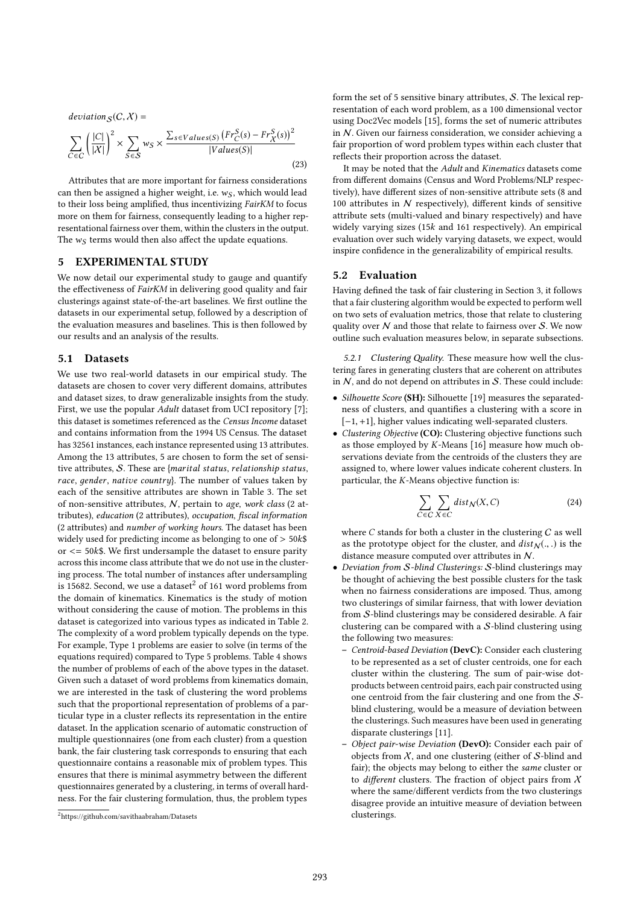deviation<sub>S</sub>(C, X) =  
\n
$$
\sum_{C \in C} \left( \frac{|C|}{|X|} \right)^2 \times \sum_{S \in S} w_S \times \frac{\sum_{s \in Values(S)} (Fr_C^S(s) - Fr_X^S(s))^2}{|Values(S)|}
$$
\n(23)

Attributes that are more important for fairness considerations can then be assigned a higher weight, i.e.  $w_S$ , which would lead to their loss being amplified, thus incentivizing FairKM to focus more on them for fairness, consequently leading to a higher representational fairness over them, within the clusters in the output. The  $w_S$  terms would then also affect the update equations.

#### 5 EXPERIMENTAL STUDY

We now detail our experimental study to gauge and quantify the effectiveness of FairKM in delivering good quality and fair clusterings against state-of-the-art baselines. We first outline the datasets in our experimental setup, followed by a description of the evaluation measures and baselines. This is then followed by our results and an analysis of the results.

#### 5.1 Datasets

We use two real-world datasets in our empirical study. The datasets are chosen to cover very different domains, attributes and dataset sizes, to draw generalizable insights from the study. First, we use the popular *Adult* dataset from UCI repository [7]; this dataset is sometimes referenced as the Census Income dataset and contains information from the 1994 US Census. The dataset has 32561 instances, each instance represented using 13 attributes. Among the 13 attributes, 5 are chosen to form the set of sensitive attributes, <sup>S</sup>. These are {marital status, relationship status, race, gender, native country}. The number of values taken by each of the sensitive attributes are shown in Table 3. The set of non-sensitive attributes, N, pertain to age, work class (2 attributes), education (2 attributes), occupation, fiscal information (2 attributes) and number of working hours. The dataset has been widely used for predicting income as belonging to one of  $> 50k$ \$ or  $\epsilon$  = 50 $k$ \$. We first undersample the dataset to ensure parity across this income class attribute that we do not use in the clustering process. The total number of instances after undersampling is 15682. Second, we use a dataset<sup>2</sup> of 161 word problems from the domain of kinematics. Kinematics is the study of motion without considering the cause of motion. The problems in this dataset is categorized into various types as indicated in Table 2. The complexity of a word problem typically depends on the type. For example, Type 1 problems are easier to solve (in terms of the equations required) compared to Type 5 problems. Table 4 shows the number of problems of each of the above types in the dataset. Given such a dataset of word problems from kinematics domain, we are interested in the task of clustering the word problems such that the proportional representation of problems of a particular type in a cluster reflects its representation in the entire dataset. In the application scenario of automatic construction of multiple questionnaires (one from each cluster) from a question bank, the fair clustering task corresponds to ensuring that each questionnaire contains a reasonable mix of problem types. This ensures that there is minimal asymmetry between the different questionnaires generated by a clustering, in terms of overall hardness. For the fair clustering formulation, thus, the problem types

form the set of 5 sensitive binary attributes, S. The lexical representation of each word problem, as a 100 dimensional vector using Doc2Vec models [15], forms the set of numeric attributes in  $N$ . Given our fairness consideration, we consider achieving a fair proportion of word problem types within each cluster that reflects their proportion across the dataset.

It may be noted that the Adult and Kinematics datasets come from different domains (Census and Word Problems/NLP respectively), have different sizes of non-sensitive attribute sets (8 and 100 attributes in  $N$  respectively), different kinds of sensitive attribute sets (multi-valued and binary respectively) and have widely varying sizes (15k and <sup>161</sup> respectively). An empirical evaluation over such widely varying datasets, we expect, would inspire confidence in the generalizability of empirical results.

# 5.2 Evaluation

Having defined the task of fair clustering in Section 3, it follows that a fair clustering algorithm would be expected to perform well on two sets of evaluation metrics, those that relate to clustering quality over N and those that relate to fairness over S. We now outline such evaluation measures below, in separate subsections.

5.2.1 Clustering Quality. These measure how well the clustering fares in generating clusters that are coherent on attributes in  $N$ , and do not depend on attributes in  $S$ . These could include:

- Silhouette Score (SH): Silhouette [19] measures the separatedness of clusters, and quantifies a clustering with a score in [−1, <sup>+</sup>1], higher values indicating well-separated clusters.
- Clustering Objective (CO): Clustering objective functions such as those employed by K-Means [16] measure how much observations deviate from the centroids of the clusters they are assigned to, where lower values indicate coherent clusters. In particular, the K-Means objective function is:

$$
\sum_{C \in C} \sum_{X \in C} dist_N(X, C)
$$
 (24)

where  $C$  stands for both a cluster in the clustering  $C$  as well as the prototype object for the cluster, and  $dist_N(.,.)$  is the distance measure computed over attributes in N.

- Deviation from S-blind Clusterings: S-blind clusterings may be thought of achieving the best possible clusters for the task when no fairness considerations are imposed. Thus, among two clusterings of similar fairness, that with lower deviation from S-blind clusterings may be considered desirable. A fair clustering can be compared with a  $S$ -blind clustering using the following two measures:
	- Centroid-based Deviation (DevC): Consider each clustering to be represented as a set of cluster centroids, one for each cluster within the clustering. The sum of pair-wise dotproducts between centroid pairs, each pair constructed using one centroid from the fair clustering and one from the Sblind clustering, would be a measure of deviation between the clusterings. Such measures have been used in generating disparate clusterings [11].
	- Object pair-wise Deviation (DevO): Consider each pair of objects from  $X$ , and one clustering (either of  $S$ -blind and fair); the objects may belong to either the same cluster or to *different* clusters. The fraction of object pairs from  $X$ where the same/different verdicts from the two clusterings disagree provide an intuitive measure of deviation between clusterings.

<sup>2</sup>https://github.com/savithaabraham/Datasets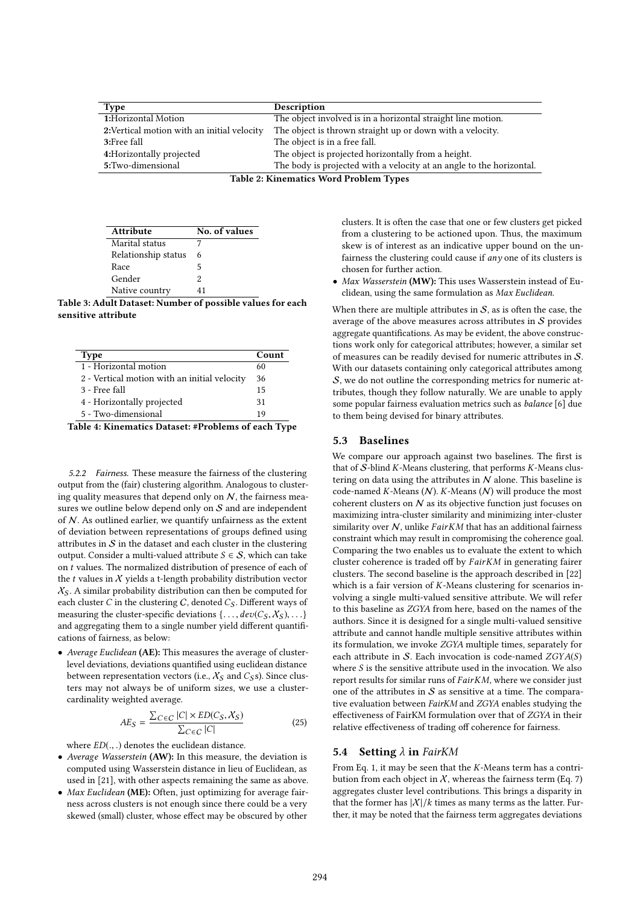| Type                                        | Description                                                          |  |  |  |
|---------------------------------------------|----------------------------------------------------------------------|--|--|--|
| 1:Horizontal Motion                         | The object involved is in a horizontal straight line motion.         |  |  |  |
| 2: Vertical motion with an initial velocity | The object is thrown straight up or down with a velocity.            |  |  |  |
| 3:Free fall                                 | The object is in a free fall.                                        |  |  |  |
| 4: Horizontally projected                   | The object is projected horizontally from a height.                  |  |  |  |
| 5:Two-dimensional                           | The body is projected with a velocity at an angle to the horizontal. |  |  |  |
| $T = 110T$                                  |                                                                      |  |  |  |

Table 2: Kinematics Word Problem Types

| <b>Attribute</b>    | No. of values |
|---------------------|---------------|
| Marital status      |               |
| Relationship status | 6             |
| Race                | 5             |
| Gender              | 2             |
| Native country      | 41            |

Table 3: Adult Dataset: Number of possible values for each sensitive attribute

| <b>Type</b>                                  | Count |
|----------------------------------------------|-------|
| 1 - Horizontal motion                        | 60    |
| 2 - Vertical motion with an initial velocity | 36    |
| 3 - Free fall                                | 15    |
| 4 - Horizontally projected                   | 31    |
| 5 - Two-dimensional                          | 19    |

Table 4: Kinematics Dataset: #Problems of each Type

5.2.2 Fairness. These measure the fairness of the clustering output from the (fair) clustering algorithm. Analogous to clustering quality measures that depend only on  $N$ , the fairness measures we outline below depend only on  $S$  and are independent of  $N$ . As outlined earlier, we quantify unfairness as the extent of deviation between representations of groups defined using attributes in  $S$  in the dataset and each cluster in the clustering output. Consider a multi-valued attribute  $S \in \mathcal{S}$ , which can take on t values. The normalized distribution of presence of each of the  $t$  values in  $X$  yields a t-length probability distribution vector  $X<sub>S</sub>$ . A similar probability distribution can then be computed for each cluster C in the clustering C, denoted  $C_S$ . Different ways of measuring the cluster-specific deviations  $\{\ldots, dev(C_S, X_S), \ldots\}$ and aggregating them to a single number yield different quantifications of fairness, as below:

• Average Euclidean (AE): This measures the average of clusterlevel deviations, deviations quantified using euclidean distance between representation vectors (i.e.,  $X_S$  and  $C_S$ s). Since clusters may not always be of uniform sizes, we use a clustercardinality weighted average.

$$
AE_S = \frac{\sum_{C \in C} |C| \times ED(C_S, X_S)}{\sum_{C \in C} |C|}
$$
 (25)

where  $ED(.,.)$  denotes the euclidean distance.<br>Average Wasserstein (AW): In this measure

- Average Wasserstein (AW): In this measure, the deviation is computed using Wasserstein distance in lieu of Euclidean, as used in [21], with other aspects remaining the same as above.
- Max Euclidean (ME): Often, just optimizing for average fairness across clusters is not enough since there could be a very skewed (small) cluster, whose effect may be obscured by other

clusters. It is often the case that one or few clusters get picked from a clustering to be actioned upon. Thus, the maximum skew is of interest as an indicative upper bound on the unfairness the clustering could cause if  $any$  one of its clusters is chosen for further action.

• Max Wasserstein (MW): This uses Wasserstein instead of Euclidean, using the same formulation as Max Euclidean.

When there are multiple attributes in  $S$ , as is often the case, the average of the above measures across attributes in  $S$  provides aggregate quantifications. As may be evident, the above constructions work only for categorical attributes; however, a similar set of measures can be readily devised for numeric attributes in S. With our datasets containing only categorical attributes among S, we do not outline the corresponding metrics for numeric attributes, though they follow naturally. We are unable to apply some popular fairness evaluation metrics such as balance [6] due to them being devised for binary attributes.

## 5.3 Baselines

We compare our approach against two baselines. The first is that of  $S$ -blind K-Means clustering, that performs K-Means clustering on data using the attributes in  $N$  alone. This baseline is code-named  $K$ -Means  $(N)$ . K-Means  $(N)$  will produce the most coherent clusters on  $N$  as its objective function just focuses on maximizing intra-cluster similarity and minimizing inter-cluster similarity over  $N$ , unlike  $FairKM$  that has an additional fairness constraint which may result in compromising the coherence goal. Comparing the two enables us to evaluate the extent to which cluster coherence is traded off by FairKM in generating fairer clusters. The second baseline is the approach described in [22] which is a fair version of K-Means clustering for scenarios involving a single multi-valued sensitive attribute. We will refer to this baseline as ZGYA from here, based on the names of the authors. Since it is designed for a single multi-valued sensitive attribute and cannot handle multiple sensitive attributes within its formulation, we invoke ZGYA multiple times, separately for each attribute in S. Each invocation is code-named  $ZGYA(S)$ where  $S$  is the sensitive attribute used in the invocation. We also report results for similar runs of FairKM, where we consider just one of the attributes in  $S$  as sensitive at a time. The comparative evaluation between FairKM and ZGYA enables studying the effectiveness of FairKM formulation over that of ZGYA in their relative effectiveness of trading off coherence for fairness.

#### 5.4 Setting  $\lambda$  in FairKM

From Eq. 1, it may be seen that the  $K$ -Means term has a contribution from each object in  $X$ , whereas the fairness term (Eq. 7) aggregates cluster level contributions. This brings a disparity in that the former has  $|X|/k$  times as many terms as the latter. Further, it may be noted that the fairness term aggregates deviations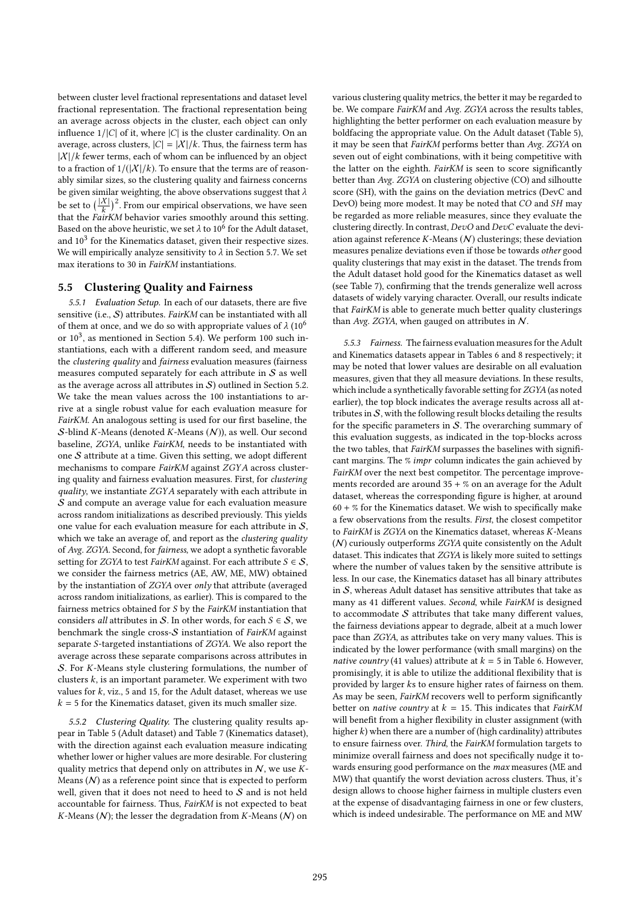between cluster level fractional representations and dataset level fractional representation. The fractional representation being an average across objects in the cluster, each object can only influence  $1/|C|$  of it, where  $|C|$  is the cluster cardinality. On an average, across clusters,  $|C| = |X|/k$ . Thus, the fairness term has  $|X|/k$  fewer terms, each of whom can be influenced by an object to a fraction of  $1/(|\mathcal{X}|/k)$ . To ensure that the terms are of reasonably similar sizes, so the clustering quality and fairness concerns be given similar weighting, the above observations suggest that  $\lambda$ be set to  $\left(\frac{|X|}{k}\right)$  $\frac{X|}{k}$ <sup>2</sup>. From our empirical observations, we have seen that the FairKM behavior varies smoothly around this setting. Based on the above heuristic, we set  $\lambda$  to  $10^6$  for the Adult dataset,<br>and  $10^3$  for the Kinematics dataset, given their respective sizes and  $10^3$  for the Kinematics dataset, given their respective sizes. We will empirically analyze sensitivity to  $\lambda$  in Section 5.7. We set max iterations to 30 in FairKM instantiations.

## 5.5 Clustering Quality and Fairness

5.5.1 Evaluation Setup. In each of our datasets, there are five sensitive (i.e., S) attributes. FairKM can be instantiated with all of them at once, and we do so with appropriate values of  $\lambda$  (10<sup>6</sup>) or 10<sup>3</sup>, as mentioned in Section 5.4). We perform 100 such instantiations, each with a different random seed, and measure the clustering quality and fairness evaluation measures (fairness measures computed separately for each attribute in  $S$  as well as the average across all attributes in  $S$ ) outlined in Section 5.2. We take the mean values across the 100 instantiations to arrive at a single robust value for each evaluation measure for FairKM. An analogous setting is used for our first baseline, the S-blind K-Means (denoted K-Means  $(N)$ ), as well. Our second baseline, ZGYA, unlike FairKM, needs to be instantiated with one  $S$  attribute at a time. Given this setting, we adopt different mechanisms to compare FairKM against ZGYA across clustering quality and fairness evaluation measures. First, for clustering quality, we instantiate ZGYA separately with each attribute in S and compute an average value for each evaluation measure across random initializations as described previously. This yields one value for each evaluation measure for each attribute in S, which we take an average of, and report as the *clustering quality* of Avg. ZGYA. Second, for fairness, we adopt a synthetic favorable setting for ZGYA to test FairKM against. For each attribute  $S \in \mathcal{S}$ , we consider the fairness metrics (AE, AW, ME, MW) obtained by the instantiation of ZGYA over only that attribute (averaged across random initializations, as earlier). This is compared to the fairness metrics obtained for S by the FairKM instantiation that considers *all* attributes in S. In other words, for each  $S \in S$ , we benchmark the single cross- $S$  instantiation of  $FairKM$  against separate S-targeted instantiations of ZGYA. We also report the average across these separate comparisons across attributes in <sup>S</sup>. For K-Means style clustering formulations, the number of clusters  $k$ , is an important parameter. We experiment with two values for  $k$ , viz., 5 and 15, for the Adult dataset, whereas we use  $k = 5$  for the Kinematics dataset, given its much smaller size.

5.5.2 Clustering Quality. The clustering quality results appear in Table 5 (Adult dataset) and Table 7 (Kinematics dataset), with the direction against each evaluation measure indicating whether lower or higher values are more desirable. For clustering quality metrics that depend only on attributes in  $N$ , we use  $K$ -Means  $(N)$  as a reference point since that is expected to perform well, given that it does not need to heed to  $S$  and is not held accountable for fairness. Thus, FairKM is not expected to beat K-Means  $(N)$ ; the lesser the degradation from K-Means  $(N)$  on

various clustering quality metrics, the better it may be regarded to be. We compare FairKM and Avg. ZGYA across the results tables, highlighting the better performer on each evaluation measure by boldfacing the appropriate value. On the Adult dataset (Table 5), it may be seen that FairKM performs better than Avg. ZGYA on seven out of eight combinations, with it being competitive with the latter on the eighth. FairKM is seen to score significantly better than Avg. ZGYA on clustering objective (CO) and silhoutte score (SH), with the gains on the deviation metrics (DevC and DevO) being more modest. It may be noted that CO and SH may be regarded as more reliable measures, since they evaluate the clustering directly. In contrast, DevO and DevC evaluate the deviation against reference  $K$ -Means  $(N)$  clusterings; these deviation measures penalize deviations even if those be towards other good quality clusterings that may exist in the dataset. The trends from the Adult dataset hold good for the Kinematics dataset as well (see Table 7), confirming that the trends generalize well across datasets of widely varying character. Overall, our results indicate that FairKM is able to generate much better quality clusterings than Avg. ZGYA, when gauged on attributes in  $N$ .

5.5.3 Fairness. The fairness evaluation measures for the Adult and Kinematics datasets appear in Tables 6 and 8 respectively; it may be noted that lower values are desirable on all evaluation measures, given that they all measure deviations. In these results, which include a synthetically favorable setting for ZGYA(as noted earlier), the top block indicates the average results across all attributes in  $S$ , with the following result blocks detailing the results for the specific parameters in  $S$ . The overarching summary of this evaluation suggests, as indicated in the top-blocks across the two tables, that FairKM surpasses the baselines with significant margins. The % impr column indicates the gain achieved by FairKM over the next best competitor. The percentage improvements recorded are around  $35 + \%$  on an average for the Adult dataset, whereas the corresponding figure is higher, at around  $60 + %$  for the Kinematics dataset. We wish to specifically make a few observations from the results. First, the closest competitor to FairKM is ZGYA on the Kinematics dataset, whereas K-Means (N) curiously outperforms ZGYA quite consistently on the Adult dataset. This indicates that ZGYA is likely more suited to settings where the number of values taken by the sensitive attribute is less. In our case, the Kinematics dataset has all binary attributes in  $S$ , whereas Adult dataset has sensitive attributes that take as many as 41 different values. Second, while FairKM is designed to accommodate  $S$  attributes that take many different values, the fairness deviations appear to degrade, albeit at a much lower pace than ZGYA, as attributes take on very many values. This is indicated by the lower performance (with small margins) on the native country (41 values) attribute at  $k = 5$  in Table 6. However, promisingly, it is able to utilize the additional flexibility that is provided by larger ks to ensure higher rates of fairness on them. As may be seen, FairKM recovers well to perform significantly better on *native country* at  $k = 15$ . This indicates that *FairKM* will benefit from a higher flexibility in cluster assignment (with higher  $k$ ) when there are a number of (high cardinality) attributes to ensure fairness over. Third, the FairKM formulation targets to minimize overall fairness and does not specifically nudge it towards ensuring good performance on the max measures (ME and MW) that quantify the worst deviation across clusters. Thus, it's design allows to choose higher fairness in multiple clusters even at the expense of disadvantaging fairness in one or few clusters, which is indeed undesirable. The performance on ME and MW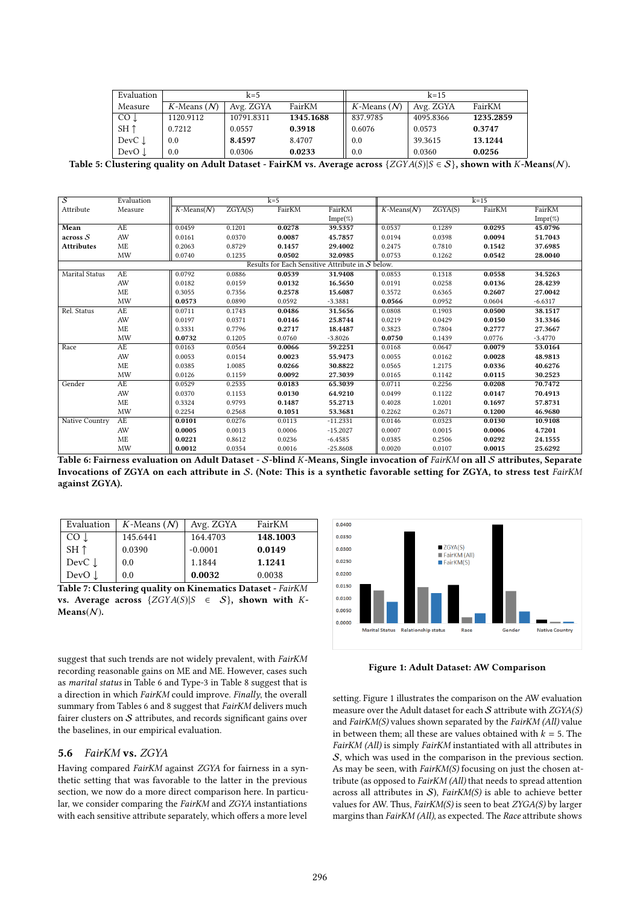| Evaluation           | $k=5$            |            |           | $k=15$           |           |           |
|----------------------|------------------|------------|-----------|------------------|-----------|-----------|
| Measure              | $K$ -Means $(N)$ | Avg. ZGYA  | FairKM    | $K$ -Means $(N)$ | Avg. ZGYA | FairKM    |
| CO .l                | 1120.9112        | 10791.8311 | 1345.1688 | 837.9785         | 4095.8366 | 1235.2859 |
| $SH \uparrow$        | 0.7212           | 0.0557     | 0.3918    | 0.6076           | 0.0573    | 0.3747    |
| $DevC$ $\downarrow$  | 0.0              | 8.4597     | 8.4707    | 0.0              | 39.3615   | 13.1244   |
| DevO <sub>.</sub> l. | 0.0              | 0.0306     | 0.0233    | 0.0              | 0.0360    | 0.0256    |

Table 5: Clustering quality on Adult Dataset - FairKM vs. Average across  $\{ZGYA(S)|S \in S\}$ , shown with K-Means(N).

| $\overline{s}$    | Evaluation |                  |         | $k=5$  |                                                  |                  |         | $k=15$ |            |
|-------------------|------------|------------------|---------|--------|--------------------------------------------------|------------------|---------|--------|------------|
| Attribute         | Measure    | $K$ -Means $(N)$ | ZGXA(S) | FairKM | FairKM                                           | $K$ -Means $(N)$ | ZGXA(S) | FairKM | FairKM     |
|                   |            |                  |         |        | $Impr(\%)$                                       |                  |         |        | $Impr(\%)$ |
| Mean              | AE         | 0.0459           | 0.1201  | 0.0278 | 39.5357                                          | 0.0537           | 0.1289  | 0.0295 | 45.0796    |
| across S          | AW         | 0.0161           | 0.0370  | 0.0087 | 45.7857                                          | 0.0194           | 0.0398  | 0.0094 | 51.7043    |
| <b>Attributes</b> | <b>ME</b>  | 0.2063           | 0.8729  | 0.1457 | 29.4002                                          | 0.2475           | 0.7810  | 0.1542 | 37.6985    |
|                   | <b>MW</b>  | 0.0740           | 0.1235  | 0.0502 | 32.0985                                          | 0.0753           | 0.1262  | 0.0542 | 28.0040    |
|                   |            |                  |         |        | Results for Each Sensitive Attribute in S below. |                  |         |        |            |
| Marital Status    | AE         | 0.0792           | 0.0886  | 0.0539 | 31.9408                                          | 0.0853           | 0.1318  | 0.0558 | 34.5263    |
|                   | AW         | 0.0182           | 0.0159  | 0.0132 | 16.5650                                          | 0.0191           | 0.0258  | 0.0136 | 28.4239    |
|                   | <b>ME</b>  | 0.3055           | 0.7356  | 0.2578 | 15.6087                                          | 0.3572           | 0.6365  | 0.2607 | 27.0042    |
|                   | <b>MW</b>  | 0.0573           | 0.0890  | 0.0592 | $-3.3881$                                        | 0.0566           | 0.0952  | 0.0604 | $-6.6317$  |
| Rel. Status       | AE         | 0.0711           | 0.1743  | 0.0486 | 31.5656                                          | 0.0808           | 0.1903  | 0.0500 | 38.1517    |
|                   | AW         | 0.0197           | 0.0371  | 0.0146 | 25.8744                                          | 0.0219           | 0.0429  | 0.0150 | 31.3346    |
|                   | $\rm ME$   | 0.3331           | 0.7796  | 0.2717 | 18.4487                                          | 0.3823           | 0.7804  | 0.2777 | 27.3667    |
|                   | <b>MW</b>  | 0.0732           | 0.1205  | 0.0760 | $-3.8026$                                        | 0.0750           | 0.1439  | 0.0776 | $-3.4770$  |
| Race              | AE         | 0.0163           | 0.0564  | 0.0066 | 59.2251                                          | 0.0168           | 0.0647  | 0.0079 | 53.0164    |
|                   | AW         | 0.0053           | 0.0154  | 0.0023 | 55.9473                                          | 0.0055           | 0.0162  | 0.0028 | 48.9813    |
|                   | <b>ME</b>  | 0.0385           | 1.0085  | 0.0266 | 30.8822                                          | 0.0565           | 1.2175  | 0.0336 | 40.6276    |
|                   | <b>MW</b>  | 0.0126           | 0.1159  | 0.0092 | 27.3039                                          | 0.0165           | 0.1142  | 0.0115 | 30.2523    |
| Gender            | AE         | 0.0529           | 0.2535  | 0.0183 | 65.3039                                          | 0.0711           | 0.2256  | 0.0208 | 70.7472    |
|                   | AW         | 0.0370           | 0.1153  | 0.0130 | 64.9210                                          | 0.0499           | 0.1122  | 0.0147 | 70.4913    |
|                   | <b>ME</b>  | 0.3324           | 0.9793  | 0.1487 | 55.2713                                          | 0.4028           | 1.0201  | 0.1697 | 57.8731    |
|                   | <b>MW</b>  | 0.2254           | 0.2568  | 0.1051 | 53.3681                                          | 0.2262           | 0.2671  | 0.1200 | 46.9680    |
| Native Country    | AE         | 0.0101           | 0.0276  | 0.0113 | $-11.2331$                                       | 0.0146           | 0.0323  | 0.0130 | 10.9108    |
|                   | AW         | 0.0005           | 0.0013  | 0.0006 | $-15.2027$                                       | 0.0007           | 0.0015  | 0.0006 | 4.7201     |
|                   | <b>ME</b>  | 0.0221           | 0.8612  | 0.0236 | $-6.4585$                                        | 0.0385           | 0.2506  | 0.0292 | 24.1555    |
|                   | <b>MW</b>  | 0.0012           | 0.0354  | 0.0016 | $-25.8608$                                       | 0.0020           | 0.0107  | 0.0015 | 25.6292    |

Table 6: Fairness evaluation on Adult Dataset - S-blind K-Means, Single invocation of FairKM on all S attributes, Separate Invocations of ZGYA on each attribute in S. (Note: This is a synthetic favorable setting for ZGYA, to stress test FairKM against ZGYA).

| Evaluation         | $K$ -Means $(N)$ | Avg. ZGYA | FairKM   |
|--------------------|------------------|-----------|----------|
| $CO \perp$         | 145.6441         | 164.4703  | 148.1003 |
| SH $\uparrow$      | 0.0390           | $-0.0001$ | 0.0149   |
| Dev $C \downarrow$ | 0.0              | 1.1844    | 1.1241   |
| DevO $\downarrow$  | 0.0              | 0.0032    | 0.0038   |

Table 7: Clustering quality on Kinematics Dataset - FairKM vs. Average across  $\{ZGYA(S)|S \in S\}$ , shown with K- $Means(N)$ .



## 5.6 FairKM vs. ZGYA

Having compared FairKM against ZGYA for fairness in a synthetic setting that was favorable to the latter in the previous section, we now do a more direct comparison here. In particular, we consider comparing the FairKM and ZGYA instantiations with each sensitive attribute separately, which offers a more level



Figure 1: Adult Dataset: AW Comparison

setting. Figure 1 illustrates the comparison on the AW evaluation measure over the Adult dataset for each  $S$  attribute with  $ZGYA(S)$ and FairKM(S) values shown separated by the FairKM (All) value in between them; all these are values obtained with  $k = 5$ . The FairKM (All) is simply FairKM instantiated with all attributes in S, which was used in the comparison in the previous section. As may be seen, with *FairKM(S)* focusing on just the chosen attribute (as opposed to FairKM (All) that needs to spread attention across all attributes in  $S$ ), FairKM(S) is able to achieve better values for AW. Thus, FairKM(S) is seen to beat ZYGA(S) by larger margins than FairKM (All), as expected. The Race attribute shows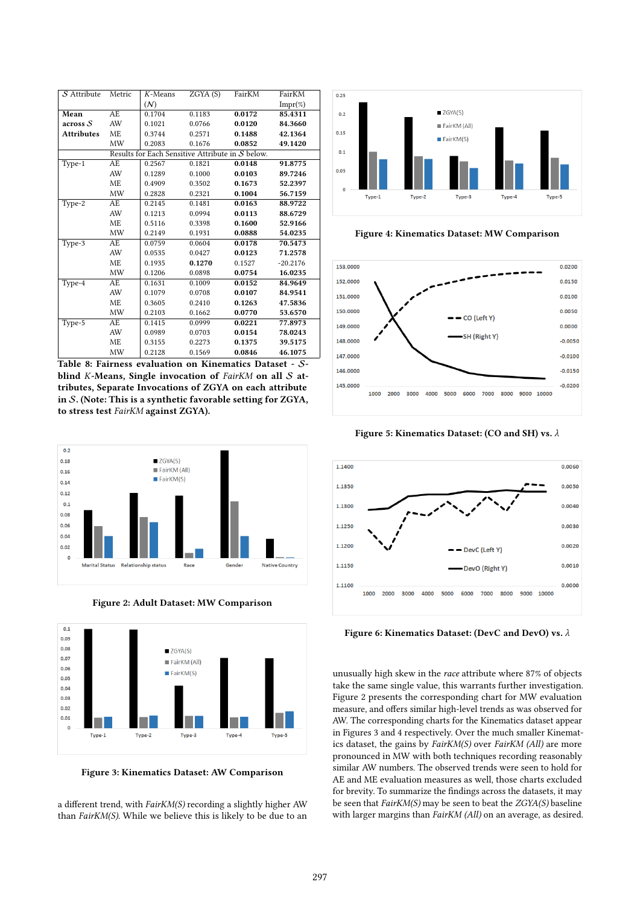| S Attribute       | Metric    | $K$ -Means | ZGYA(S)                                          | FairKM | FairKM     |
|-------------------|-----------|------------|--------------------------------------------------|--------|------------|
|                   |           | (N)        |                                                  |        | $Impr(\%)$ |
| Mean              | AE.       | 0.1704     | 0.1183                                           | 0.0172 | 85.4311    |
| across S          | AW        | 0.1021     | 0.0766                                           | 0.0120 | 84.3660    |
| <b>Attributes</b> | <b>ME</b> | 0.3744     | 0.2571                                           | 0.1488 | 42.1364    |
|                   | MW        | 0.2083     | 0.1676                                           | 0.0852 | 49.1420    |
|                   |           |            | Results for Each Sensitive Attribute in S below. |        |            |
| Type-1            | AE        | 0.2567     | 0.1821                                           | 0.0148 | 91.8775    |
|                   | AW        | 0.1289     | 0.1000                                           | 0.0103 | 89.7246    |
|                   | ME        | 0.4909     | 0.3502                                           | 0.1673 | 52.2397    |
|                   | MW        | 0.2828     | 0.2321                                           | 0.1004 | 56.7159    |
| Type-2            | AE        | 0.2145     | 0.1481                                           | 0.0163 | 88.9722    |
|                   | AW        | 0.1213     | 0.0994                                           | 0.0113 | 88.6729    |
|                   | ME        | 0.5116     | 0.3398                                           | 0.1600 | 52.9166    |
|                   | MW        | 0.2149     | 0.1931                                           | 0.0888 | 54.0235    |
| Type-3            | AE        | 0.0759     | 0.0604                                           | 0.0178 | 70.5473    |
|                   | AW        | 0.0535     | 0.0427                                           | 0.0123 | 71.2578    |
|                   | ME        | 0.1935     | 0.1270                                           | 0.1527 | $-20.2176$ |
|                   | MW        | 0.1206     | 0.0898                                           | 0.0754 | 16.0235    |
| Type-4            | AE        | 0.1631     | 0.1009                                           | 0.0152 | 84.9649    |
|                   | AW        | 0.1079     | 0.0708                                           | 0.0107 | 84.9541    |
|                   | <b>ME</b> | 0.3605     | 0.2410                                           | 0.1263 | 47.5836    |
|                   | MW        | 0.2103     | 0.1662                                           | 0.0770 | 53.6570    |
| Type-5            | AE        | 0.1415     | 0.0999                                           | 0.0221 | 77.8973    |
|                   | AW        | 0.0989     | 0.0703                                           | 0.0154 | 78.0243    |
|                   | ME        | 0.3155     | 0.2273                                           | 0.1375 | 39.5175    |
|                   | MW        | 0.2128     | 0.1569                                           | 0.0846 | 46.1075    |
|                   |           |            |                                                  |        |            |

Table 8: Fairness evaluation on Kinematics Dataset - Sblind K-Means, Single invocation of  $FairKM$  on all  $S$  attributes, Separate Invocations of ZGYA on each attribute in S. (Note: This is a synthetic favorable setting for ZGYA, to stress test FairKM against ZGYA).



Figure 2: Adult Dataset: MW Comparison



Figure 3: Kinematics Dataset: AW Comparison

a different trend, with FairKM(S) recording a slightly higher AW than  $FairKM(S)$ . While we believe this is likely to be due to an



Figure 4: Kinematics Dataset: MW Comparison



Figure 5: Kinematics Dataset: (CO and SH) vs. λ



Figure 6: Kinematics Dataset: (DevC and DevO) vs. λ

unusually high skew in the race attribute where 87% of objects take the same single value, this warrants further investigation. Figure 2 presents the corresponding chart for MW evaluation measure, and offers similar high-level trends as was observed for AW. The corresponding charts for the Kinematics dataset appear in Figures 3 and 4 respectively. Over the much smaller Kinematics dataset, the gains by FairKM(S) over FairKM (All) are more pronounced in MW with both techniques recording reasonably similar AW numbers. The observed trends were seen to hold for AE and ME evaluation measures as well, those charts excluded for brevity. To summarize the findings across the datasets, it may be seen that FairKM(S) may be seen to beat the ZGYA(S) baseline with larger margins than FairKM (All) on an average, as desired.